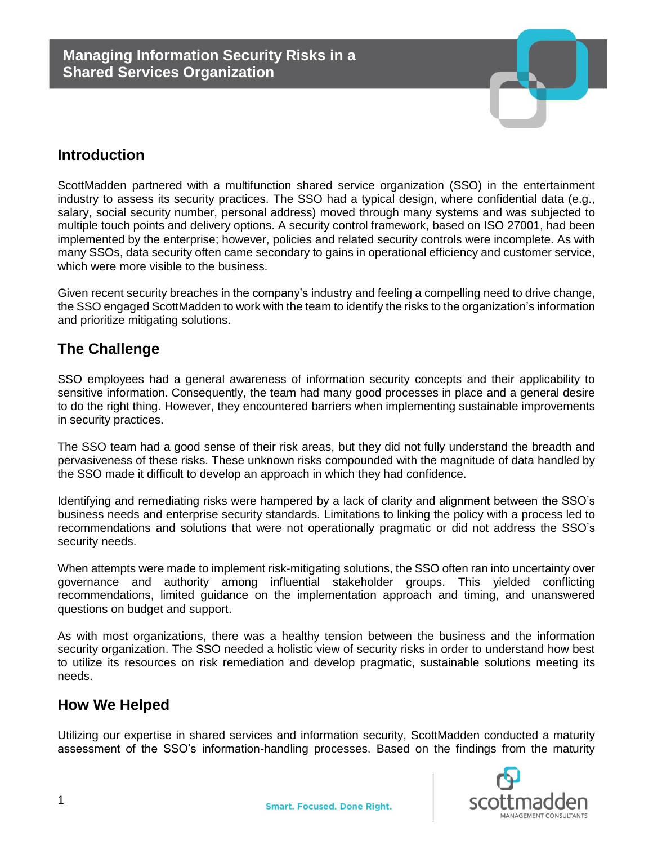

# **Introduction**

ScottMadden partnered with a multifunction shared service organization (SSO) in the entertainment industry to assess its security practices. The SSO had a typical design, where confidential data (e.g., salary, social security number, personal address) moved through many systems and was subjected to multiple touch points and delivery options. A security control framework, based on ISO 27001, had been implemented by the enterprise; however, policies and related security controls were incomplete. As with many SSOs, data security often came secondary to gains in operational efficiency and customer service, which were more visible to the business.

Given recent security breaches in the company's industry and feeling a compelling need to drive change, the SSO engaged ScottMadden to work with the team to identify the risks to the organization's information and prioritize mitigating solutions.

## **The Challenge**

SSO employees had a general awareness of information security concepts and their applicability to sensitive information. Consequently, the team had many good processes in place and a general desire to do the right thing. However, they encountered barriers when implementing sustainable improvements in security practices.

The SSO team had a good sense of their risk areas, but they did not fully understand the breadth and pervasiveness of these risks. These unknown risks compounded with the magnitude of data handled by the SSO made it difficult to develop an approach in which they had confidence.

Identifying and remediating risks were hampered by a lack of clarity and alignment between the SSO's business needs and enterprise security standards. Limitations to linking the policy with a process led to recommendations and solutions that were not operationally pragmatic or did not address the SSO's security needs.

When attempts were made to implement risk-mitigating solutions, the SSO often ran into uncertainty over governance and authority among influential stakeholder groups. This yielded conflicting recommendations, limited guidance on the implementation approach and timing, and unanswered questions on budget and support.

As with most organizations, there was a healthy tension between the business and the information security organization. The SSO needed a holistic view of security risks in order to understand how best to utilize its resources on risk remediation and develop pragmatic, sustainable solutions meeting its needs.

## **How We Helped**

Utilizing our expertise in shared services and information security, ScottMadden conducted a maturity assessment of the SSO's information-handling processes. Based on the findings from the maturity